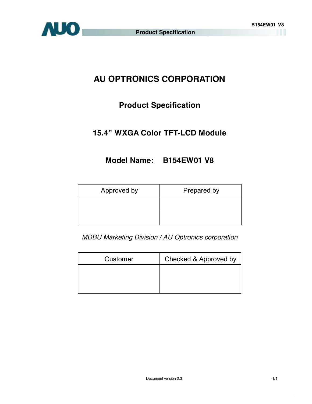

# **AU OPTRONICS CORPORATION**

# **Product Specification**

# **15.4" WXGA Color TFT-LCD Module**

# **Model Name: B154EW01 V8**

*MDBU Marketing Division / AU Optronics corporation*

| Checked & Approved by |
|-----------------------|
|                       |
|                       |
|                       |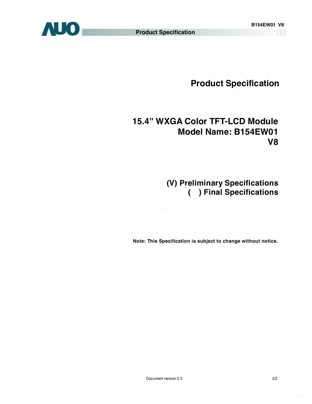**Product Specification**



**Product Specification** 

# **15.4" WXGA Color TFT-LCD Module Model Name: B154EW01 V8**

**(V) Preliminary Specifications ( ) Final Specifications** 

 **Note: This Specification is subject to change without notice.**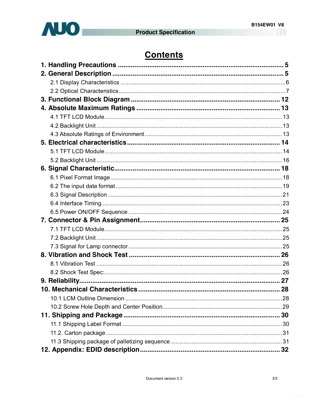

# **Contents**

| 28 |
|----|
|    |
|    |
|    |
|    |
|    |
|    |
|    |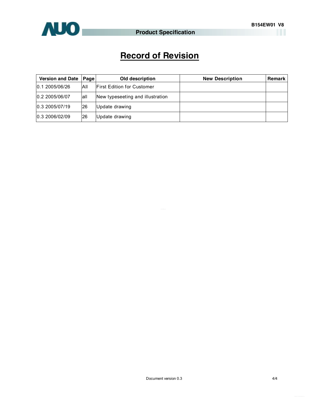

# **Record of Revision**

| Version and Date   Page |      | Old description                   | <b>New Description</b> | <b>Remark</b> |
|-------------------------|------|-----------------------------------|------------------------|---------------|
| 10.1 2005/06/26         | All  | <b>First Edition for Customer</b> |                        |               |
| 0.2 2005/06/07          | lall | New typeseeting and illustration  |                        |               |
| 0.3 2005/07/19          | 26   | Update drawing                    |                        |               |
| 0.3 2006/02/09          | 26   | Update drawing                    |                        |               |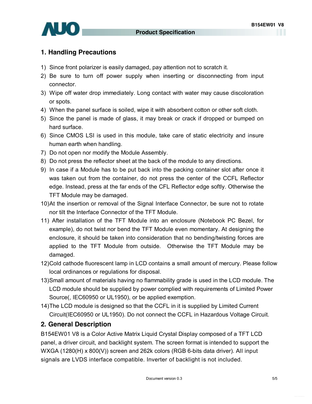

# **1. Handling Precautions**

- 1) Since front polarizer is easily damaged, pay attention not to scratch it.
- 2) Be sure to turn off power supply when inserting or disconnecting from input connector.
- 3) Wipe off water drop immediately. Long contact with water may cause discoloration or spots.
- 4) When the panel surface is soiled, wipe it with absorbent cotton or other soft cloth.
- 5) Since the panel is made of glass, it may break or crack if dropped or bumped on hard surface.
- 6) Since CMOS LSI is used in this module, take care of static electricity and insure human earth when handling.
- 7) Do not open nor modify the Module Assembly.
- 8) Do not press the reflector sheet at the back of the module to any directions.
- 9) In case if a Module has to be put back into the packing container slot after once it was taken out from the container, do not press the center of the CCFL Reflector edge. Instead, press at the far ends of the CFL Reflector edge softly. Otherwise the TFT Module may be damaged.
- 10)At the insertion or removal of the Signal Interface Connector, be sure not to rotate nor tilt the Interface Connector of the TFT Module.
- 11) After installation of the TFT Module into an enclosure (Notebook PC Bezel, for example), do not twist nor bend the TFT Module even momentary. At designing the enclosure, it should be taken into consideration that no bending/twisting forces are applied to the TFT Module from outside. Otherwise the TFT Module may be damaged.
- 12)Cold cathode fluorescent lamp in LCD contains a small amount of mercury. Please follow local ordinances or regulations for disposal.
- 13)Small amount of materials having no flammability grade is used in the LCD module. The LCD module should be supplied by power complied with requirements of Limited Power Source(, IEC60950 or UL1950), or be applied exemption.
- 14)The LCD module is designed so that the CCFL in it is supplied by Limited Current Circuit(IEC60950 or UL1950). Do not connect the CCFL in Hazardous Voltage Circuit.

### **2. General Description**

B154EW01 V8 is a Color Active Matrix Liquid Crystal Display composed of a TFT LCD panel, a driver circuit, and backlight system. The screen format is intended to support the WXGA (1280(H) x 800(V)) screen and 262k colors (RGB 6-bits data driver). All input signals are LVDS interface compatible. Inverter of backlight is not included.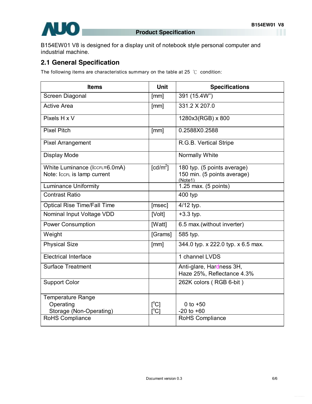

### **Product Specification**

B154EW01 V8 is designed for a display unit of notebook style personal computer and industrial machine.

# **2.1 General Specification**

The following items are characteristics summary on the table at 25 ℃ condition:

| <b>Items</b>                       | <b>Unit</b>             | <b>Specifications</b>                                  |
|------------------------------------|-------------------------|--------------------------------------------------------|
| Screen Diagonal                    | [mm]                    | 391 (15.4W")                                           |
| <b>Active Area</b>                 | [mm]                    | 331.2 X 207.0                                          |
| Pixels H x V                       |                         | 1280x3(RGB) x 800                                      |
| <b>Pixel Pitch</b>                 | [mm]                    | 0.2588X0.2588                                          |
| <b>Pixel Arrangement</b>           |                         | R.G.B. Vertical Stripe                                 |
| <b>Display Mode</b>                |                         | Normally White                                         |
| White Luminance (IccFL=6.0mA)      | [ $cd/m2$ ]             | 180 typ. (5 points average)                            |
| Note: IccFL is lamp current        |                         | 150 min. (5 points average)<br>(Note1)                 |
| <b>Luminance Uniformity</b>        |                         | 1.25 max. (5 points)                                   |
| <b>Contrast Ratio</b>              |                         | 400 typ                                                |
| <b>Optical Rise Time/Fall Time</b> | [msec]                  | 4/12 typ.                                              |
| Nominal Input Voltage VDD          | [Volt]                  | $+3.3$ typ.                                            |
| <b>Power Consumption</b>           | [Watt]                  | 6.5 max.(without inverter)                             |
| Weight                             | [Grams]                 | 585 typ.                                               |
| <b>Physical Size</b>               | [mm]                    | 344.0 typ. x 222.0 typ. x 6.5 max.                     |
| <b>Electrical Interface</b>        |                         | 1 channel LVDS                                         |
| <b>Surface Treatment</b>           |                         | Anti-glare, Hardness 3H,<br>Haze 25%, Reflectance 4.3% |
| <b>Support Color</b>               |                         | 262K colors (RGB 6-bit)                                |
| <b>Temperature Range</b>           |                         |                                                        |
| Operating                          | [°C]                    | 0 to $+50$                                             |
| Storage (Non-Operating)            | $\mathsf{I}^{\circ}$ Cl | $-20$ to $+60$                                         |
| RoHS Compliance                    |                         | RoHS Compliance                                        |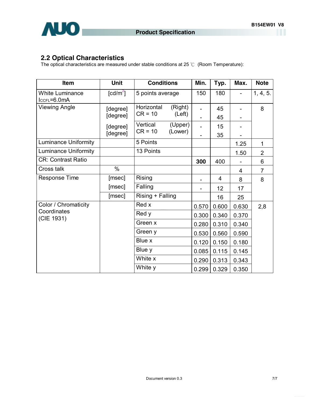

# **2.2 Optical Characteristics**

The optical characteristics are measured under stable conditions at 25  $\degree$  (Room Temperature):

| Item                                      | <b>Unit</b>             | <b>Conditions</b> |         | Min.  | Typ.  | Max.  | <b>Note</b>    |
|-------------------------------------------|-------------------------|-------------------|---------|-------|-------|-------|----------------|
| <b>White Luminance</b><br>$lccFL = 6.0mA$ | $\lceil c d/m^2 \rceil$ | 5 points average  |         | 150   | 180   |       | 1, 4, 5.       |
| <b>Viewing Angle</b>                      | [degree]                | Horizontal        | (Right) |       | 45    |       | 8              |
|                                           | [degree]                | $CR = 10$         | (Left)  |       | 45    |       |                |
|                                           | [degree]                | Vertical          | (Upper) |       | 15    |       |                |
|                                           | [degree]                | $CR = 10$         | (Lower) |       | 35    |       |                |
| <b>Luminance Uniformity</b>               |                         | 5 Points          |         |       |       | 1.25  | 1              |
| <b>Luminance Uniformity</b>               |                         | 13 Points         |         |       |       | 1.50  | $\overline{2}$ |
| <b>CR: Contrast Ratio</b>                 |                         |                   |         | 300   | 400   |       | 6              |
| Cross talk                                | $\%$                    |                   |         |       |       | 4     | $\overline{7}$ |
| Response Time                             | [msec]                  | Rising            |         |       | 4     | 8     | 8              |
|                                           | [msec]                  | Falling           |         |       | 12    | 17    |                |
|                                           | [msec]                  | Rising + Falling  |         |       | 16    | 25    |                |
| Color / Chromaticity                      |                         | Red x             |         | 0.570 | 0.600 | 0.630 | 2,8            |
| Coordinates<br>(CIE 1931)                 |                         | Red y             |         | 0.300 | 0.340 | 0.370 |                |
|                                           |                         | Green x           |         | 0.280 | 0.310 | 0.340 |                |
|                                           |                         | Green y           |         | 0.530 | 0.560 | 0.590 |                |
|                                           |                         | Blue x            |         | 0.120 | 0.150 | 0.180 |                |
|                                           |                         | Blue y            |         | 0.085 | 0.115 | 0.145 |                |
|                                           |                         | White x           |         | 0.290 | 0.313 | 0.343 |                |
|                                           |                         | White y           |         | 0.299 | 0.329 | 0.350 |                |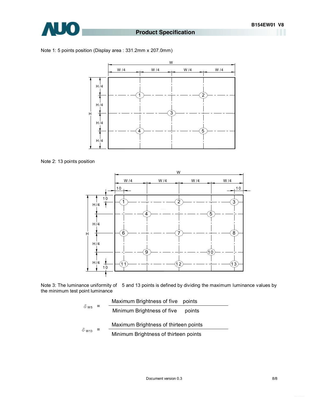

Note 1: 5 points position (Display area : 331.2mm x 207.0mm)



Note 2: 13 points position



Note 3: The luminance uniformity of 5 and 13 points is defined by dividing the maximum luminance values by the minimum test point luminance

$$
\delta_{\text{W5}} = \frac{\text{Maximum brightness of five points}}{\text{Minimum brightness of five points}}
$$
\n
$$
\delta_{\text{W13}} = \frac{\text{Maximum brightness of thirteen points}}{\text{Minimum brightness of thirteen points}}
$$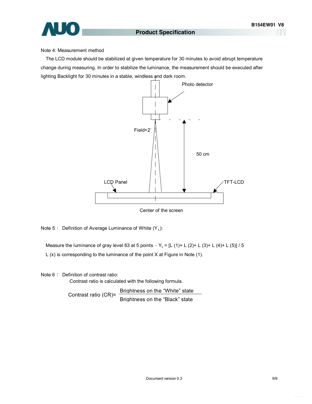

#### Note 4: Measurement method

The LCD module should be stabilized at given temperature for 30 minutes to avoid abrupt temperature change during measuring. In order to stabilize the luminance, the measurement should be executed after lighting Backlight for 30 minutes in a stable, windless and dark room.



Center of the screen

Note 5: Definition of Average Luminance of White  $(Y_L)$ :

Measure the luminance of gray level 63 at 5 points,  $Y_L = [L (1)+ L (2)+ L (3)+ L (4)+ L (5)] / 5$ L (x) is corresponding to the luminance of the point X at Figure in Note (1).

Note 6: Definition of contrast ratio: Contrast ratio is calculated with the following formula.

> Contrast ratio (CR)= Brightness on the "White" state Brightness on the "Black" state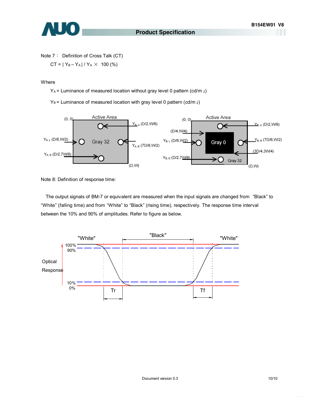

```
Note 7: Definition of Cross Talk (CT) 
CT = |Y_B - Y_A| / Y_A \times 100 (%)
```
#### **Where**

YA = Luminance of measured location without gray level 0 pattern (cd/m 2)

 $Y_B$  = Luminance of measured location with gray level 0 pattern (cd/m  $_2$ )



Note 8: Definition of response time:

The output signals of BM-7 or equivalent are measured when the input signals are changed from "Black" to "White" (falling time) and from "White" to "Black" (rising time), respectively. The response time interval between the 10% and 90% of amplitudes. Refer to figure as below.

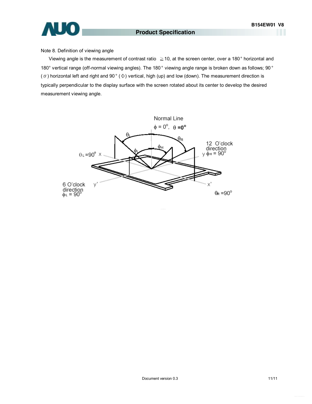

#### Note 8. Definition of viewing angle

Viewing angle is the measurement of contrast ratio  $\geq$  10, at the screen center, over a 180 $^{\circ}$  horizontal and 180° vertical range (off-normal viewing angles). The 180° viewing angle range is broken down as follows; 90 ° ( $\theta$ ) horizontal left and right and 90° ( $\Phi$ ) vertical, high (up) and low (down). The measurement direction is typically perpendicular to the display surface with the screen rotated about its center to develop the desired measurement viewing angle.

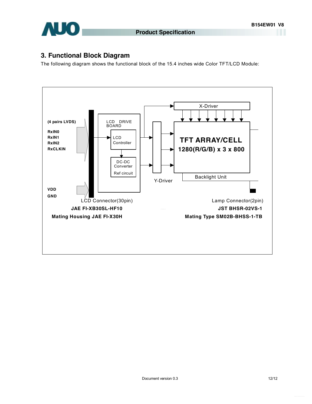

### **3. Functional Block Diagram**

The following diagram shows the functional block of the 15.4 inches wide Color TFT/LCD Module:

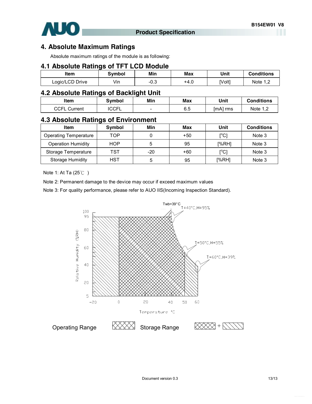

### **4. Absolute Maximum Ratings**

Absolute maximum ratings of the module is as following:

#### **4.1 Absolute Ratings of TFT LCD Module**

| Item            | Svmbol | Min  | <b>Max</b> | Unit   | <b>Conditions</b> |
|-----------------|--------|------|------------|--------|-------------------|
| Logic/LCD Drive | Vin    | -v.ə | +4.0       | [Volt] | Note $1,7$        |

### **4.2 Absolute Ratings of Backlight Unit**

| ltem            | <b>Symbol</b> | Min | <b>Max</b> | Unit     | <b>Conditions</b> |
|-----------------|---------------|-----|------------|----------|-------------------|
| CCFL<br>Current | <b>CCFL</b>   |     | e E<br>ხ.ნ | [mA] rms | Note $1,2$        |

### **4.3 Absolute Ratings of Environment**

| Item                         | Symbol | Min   | Max   | Unit                                    | <b>Conditions</b> |
|------------------------------|--------|-------|-------|-----------------------------------------|-------------------|
| <b>Operating Temperature</b> | TOP    |       | $+50$ | $\mathsf{I}^\circ\mathsf{C} \mathsf{I}$ | Note 3            |
| <b>Operation Humidity</b>    | HOP    | 5     | 95    | I%RH1                                   | Note 3            |
| Storage Temperature          | TST    | $-20$ | $+60$ | $\mathsf{I}^\circ\mathsf{C} \mathsf{I}$ | Note 3            |
| <b>Storage Humidity</b>      | HST    | 5     | 95    | [%RH]                                   | Note 3            |

Note 1: At Ta (25℃ )

Note 2: Permanent damage to the device may occur if exceed maximum values

Note 3: For quality performance, please refer to AUO IIS(Incoming Inspection Standard).

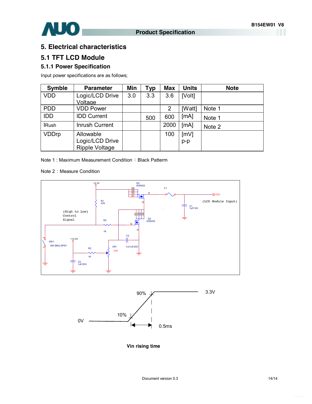

# **5. Electrical characteristics**

### **5.1 TFT LCD Module**

#### **5.1.1 Power Specification**

Input power specifications are as follows;

| <b>Symble</b> | <b>Parameter</b>      | Min | Typ | <b>Max</b> | <b>Units</b> | <b>Note</b> |
|---------------|-----------------------|-----|-----|------------|--------------|-------------|
| <b>VDD</b>    | Logic/LCD Drive       | 3.0 | 3.3 | 3.6        | [Volt]       |             |
|               | Voltage               |     |     |            |              |             |
| <b>PDD</b>    | <b>VDD Power</b>      |     |     | 2          | [Watt]       | Note 1      |
| <b>IDD</b>    | <b>IDD Current</b>    |     | 500 | 600        | [mA]         | Note 1      |
| <b>IRush</b>  | <b>Inrush Current</b> |     |     | 2000       | [mA]         | Note 2      |
| <b>VDDrp</b>  | Allowable             |     |     | 100        | [mV]         |             |
|               | Logic/LCD Drive       |     |     |            | $p-p$        |             |
|               | Ripple Voltage        |     |     |            |              |             |

Note 1 : Maximum Measurement Condition: Black Patterm

Note 2: Measure Condition





**Vin rising time**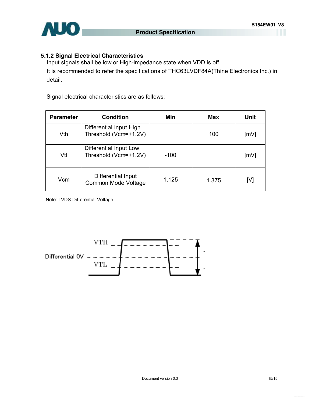

### **5.1.2 Signal Electrical Characteristics**

Input signals shall be low or High-impedance state when VDD is off. It is recommended to refer the specifications of THC63LVDF84A(Thine Electronics Inc.) in detail.

Signal electrical characteristics are as follows;

| <b>Parameter</b> | <b>Condition</b>                                 | Min    | Max   | <b>Unit</b> |
|------------------|--------------------------------------------------|--------|-------|-------------|
| Vth              | Differential Input High<br>Threshold (Vcm=+1.2V) |        | 100   | [mV]        |
| Vtl              | Differential Input Low<br>Threshold (Vcm=+1.2V)  | $-100$ |       | [mV]        |
| Vcm              | Differential Input<br>Common Mode Voltage        | 1.125  | 1.375 | [V]         |

Note: LVDS Differential Voltage

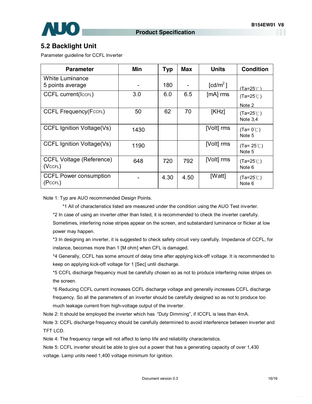# **5.2 Backlight Unit**

Parameter guideline for CCFL Inverter

| <b>Parameter</b>                                 | Min  | <b>Typ</b> | <b>Max</b> | <b>Units</b>         | <b>Condition</b>                 |
|--------------------------------------------------|------|------------|------------|----------------------|----------------------------------|
| White Luminance<br>5 points average              |      | 180        |            | [cd/m <sup>2</sup> ] | $(Ta=25^\circ C)$                |
| <b>CCFL current(ICCFL)</b>                       | 3.0  | 6.0        | 6.5        | $[mA]$ rms           | $(Ta=25^{\circ}$<br>Note 2       |
| <b>CCFL Frequency(FccFL)</b>                     | 50   | 62         | 70         | [KHz]                | $(Ta=25^{\circ}C)$<br>Note $3,4$ |
| <b>CCFL Ignition Voltage(Vs)</b>                 | 1430 |            |            | [Volt] rms           | $(Ta=0^{\circ}C)$<br>Note 5      |
| CCFL Ignition Voltage(Vs)                        | 1190 |            |            | [Volt] rms           | $(Ta = 25^{\circ}C)$<br>Note 5   |
| <b>CCFL Voltage (Reference)</b><br>$(Vc$ CFL $)$ | 648  | 720        | 792        | [Volt] rms           | $(Ta=25^{\circ}$<br>Note 6       |
| <b>CCFL Power consumption</b><br>(PccFL)         |      | 4.30       | 4.50       | [Watt]               | $(Ta=25^{\circ}C)$<br>Note 6     |

Note 1: Typ are AUO recommended Design Points.

\*1 All of characteristics listed are measured under the condition using the AUO Test inverter.

\*2 In case of using an inverter other than listed, it is recommended to check the inverter carefully.

Sometimes, interfering noise stripes appear on the screen, and substandard luminance or flicker at low power may happen.

\*3 In designing an inverter, it is suggested to check safety circuit very carefully. Impedance of CCFL, for instance, becomes more than 1 [M ohm] when CFL is damaged.

\*4 Generally, CCFL has some amount of delay time after applying kick-off voltage. It is recommended to keep on applying kick-off voltage for 1 [Sec] until discharge.

\*5 CCFL discharge frequency must be carefully chosen so as not to produce interfering noise stripes on the screen.

\*6 Reducing CCFL current increases CCFL discharge voltage and generally increases CCFL discharge frequency. So all the parameters of an inverter should be carefully designed so as not to produce too much leakage current from high-voltage output of the inverter.

Note 2: It should be employed the inverter which has "Duty Dimming", if ICCFL is less than 4mA.

Note 3: CCFL discharge frequency should be carefully determined to avoid interference between inverter and TFT LCD.

Note 4: The frequency range will not affect to lamp life and reliability characteristics.

Note 5: CCFL inverter should be able to give out a power that has a generating capacity of over 1,430 voltage. Lamp units need 1,400 voltage minimum for ignition.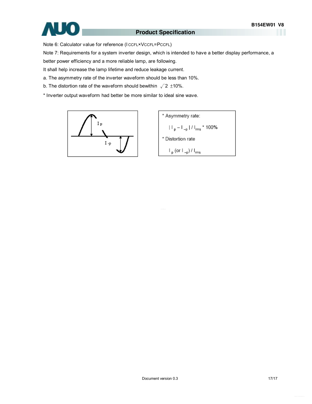

### **Product Specification**

Note 6: Calculator value for reference (I CCFL \*VCCFL=PCCFL)

Note 7: Requirements for a system inverter design, which is intended to have a better display performance, a

better power efficiency and a more reliable lamp, are following.

It shall help increase the lamp lifetime and reduce leakage current.

- a. The asymmetry rate of the inverter waveform should be less than 10%.
- b. The distortion rate of the waveform should bewithin  $\sqrt{2}$  ±10%.

\* Inverter output waveform had better be more similar to ideal sine wave.



\* Asymmetry rate:  $\left| \begin{array}{cc} | & | \\ | & | \end{array} \right|$  –  $\left| \begin{array}{c} | & | \\ -p & | \end{array} \right|$  /  $\left| \begin{array}{c} | & | \\ | & | \end{array} \right|$  100% \* Distortion rate  $\vdash_{p}$  (or  $\vdash_{-p}$ ) /  $\vdash_{rms}$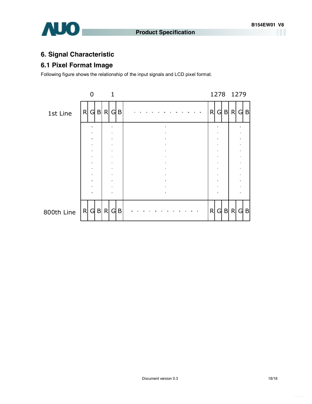

# **6. Signal Characteristic**

# **6.1 Pixel Format Image**

Following figure shows the relationship of the input signals and LCD pixel format.

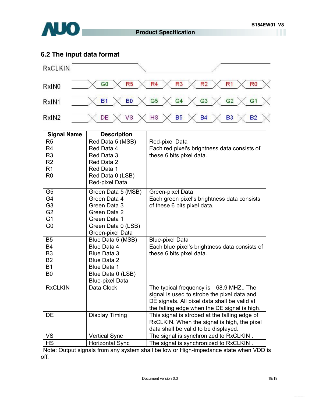

# **6.2 The input data format**



| <b>Signal Name</b> | <b>Description</b>     |                                               |
|--------------------|------------------------|-----------------------------------------------|
| R <sub>5</sub>     | Red Data 5 (MSB)       | Red-pixel Data                                |
| R <sub>4</sub>     | Red Data 4             | Each red pixel's brightness data consists of  |
| R <sub>3</sub>     | Red Data 3             | these 6 bits pixel data.                      |
| R2                 | Red Data 2             |                                               |
| R <sub>1</sub>     | Red Data 1             |                                               |
| R <sub>0</sub>     | Red Data 0 (LSB)       |                                               |
|                    | Red-pixel Data         |                                               |
| G <sub>5</sub>     | Green Data 5 (MSB)     | Green-pixel Data                              |
| G4                 | Green Data 4           | Each green pixel's brightness data consists   |
| G <sub>3</sub>     | Green Data 3           | of these 6 bits pixel data.                   |
| G <sub>2</sub>     | Green Data 2           |                                               |
| G <sub>1</sub>     | Green Data 1           |                                               |
| G <sub>0</sub>     | Green Data 0 (LSB)     |                                               |
|                    | Green-pixel Data       |                                               |
| <b>B5</b>          | Blue Data 5 (MSB)      | <b>Blue-pixel Data</b>                        |
| <b>B4</b>          | Blue Data 4            | Each blue pixel's brightness data consists of |
| B <sub>3</sub>     | <b>Blue Data 3</b>     | these 6 bits pixel data.                      |
| <b>B2</b>          | <b>Blue Data 2</b>     |                                               |
| <b>B1</b>          | <b>Blue Data 1</b>     |                                               |
| B <sub>0</sub>     | Blue Data 0 (LSB)      |                                               |
|                    | <b>Blue-pixel Data</b> |                                               |
| <b>RxCLKIN</b>     | Data Clock             | The typical frequency is 68.9 MHZ The         |
|                    |                        | signal is used to strobe the pixel data and   |
|                    |                        | DE signals. All pixel data shall be valid at  |
|                    |                        | the falling edge when the DE signal is high.  |
| DE                 | <b>Display Timing</b>  | This signal is strobed at the falling edge of |
|                    |                        | RxCLKIN. When the signal is high, the pixel   |
| <b>VS</b>          |                        | data shall be valid to be displayed.          |
|                    | <b>Vertical Sync</b>   | The signal is synchronized to RxCLKIN.        |
| <b>HS</b>          | <b>Horizontal Sync</b> | The signal is synchronized to RxCLKIN.        |

Note: Output signals from any system shall be low or High-impedance state when VDD is off.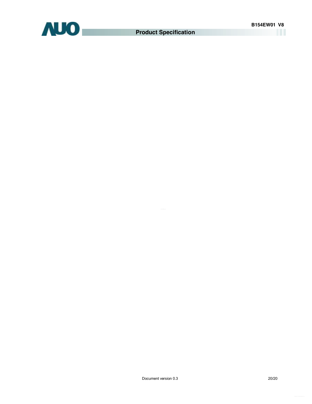m.

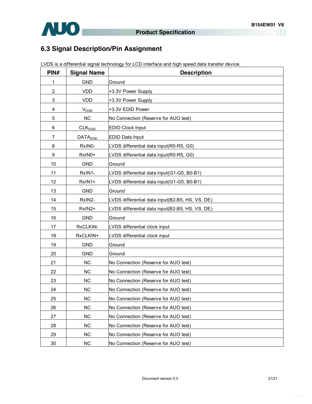# **6.3 Signal Description/Pin Assignment**

| PIN#           | <b>Signal Name</b>  | u. digital toolinology for EOD interface and high opeca data transfer device.<br><b>Description</b> |
|----------------|---------------------|-----------------------------------------------------------------------------------------------------|
| 1              | <b>GND</b>          | Ground                                                                                              |
| $\overline{c}$ | <b>VDD</b>          | +3.3V Power Supply                                                                                  |
| 3              | <b>VDD</b>          | +3.3V Power Supply                                                                                  |
| 4              | $V_{EDID}$          | +3.3V EDID Power                                                                                    |
| 5              | <b>NC</b>           | No Connection (Reserve for AUO test)                                                                |
| 6              | CLK <sub>EDID</sub> | <b>EDID Clock Input</b>                                                                             |
| 7              | <b>DATAEDID</b>     | EDID Data Input                                                                                     |
| 8              | RxIN0-              | LVDS differential data input(R0-R5, G0)                                                             |
| 9              | RxIN0+              | LVDS differential data input(R0-R5, G0)                                                             |
| 10             | <b>GND</b>          | Ground                                                                                              |
| 11             | RxIN1-              | LVDS differential data input(G1-G5, B0-B1)                                                          |
| 12             | RxIN1+              | LVDS differential data input(G1-G5, B0-B1)                                                          |
| 13             | <b>GND</b>          | Ground                                                                                              |
| 14             | RxIN2-              | LVDS differential data input(B2-B5, HS, VS, DE)                                                     |
| 15             | RxIN2+              | LVDS differential data input(B2-B5, HS, VS, DE)                                                     |
| 16             | <b>GND</b>          | Ground                                                                                              |
| 17             | RxCLKIN-            | LVDS differential clock input                                                                       |
| 18             | RxCLKIN+            | LVDS differential clock input                                                                       |
| 19             | <b>GND</b>          | Ground                                                                                              |
| 20             | <b>GND</b>          | Ground                                                                                              |
| 21             | <b>NC</b>           | No Connection (Reserve for AUO test)                                                                |
| 22             | <b>NC</b>           | No Connection (Reserve for AUO test)                                                                |
| 23             | <b>NC</b>           | No Connection (Reserve for AUO test)                                                                |
| 24             | <b>NC</b>           | No Connection (Reserve for AUO test)                                                                |
| 25             | <b>NC</b>           | No Connection (Reserve for AUO test)                                                                |
| 26             | NC                  | No Connection (Reserve for AUO test)                                                                |
| 27             | <b>NC</b>           | No Connection (Reserve for AUO test)                                                                |
| 28             | <b>NC</b>           | No Connection (Reserve for AUO test)                                                                |
| 29             | <b>NC</b>           | No Connection (Reserve for AUO test)                                                                |
| 30             | NC                  | No Connection (Reserve for AUO test)                                                                |

LVDS is a differential signal technology for LCD interface and high speed data transfer device.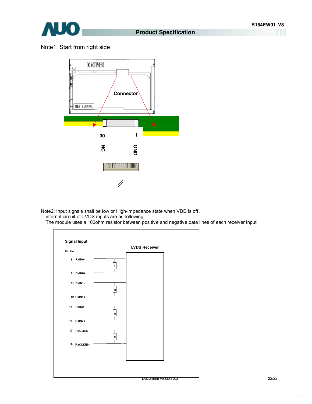

Г

### Note1: Start from right side



Note2: Input signals shall be low or High-impedance state when VDD is off. internal circuit of LVDS inputs are as following.

The module uses a 100ohm resistor between positive and negative data lines of each receiver input

| Pin No.     |              | <b>LVDS Receiver</b> |  |
|-------------|--------------|----------------------|--|
|             |              |                      |  |
| 8 RxINO-    |              |                      |  |
|             | R            |                      |  |
| 9 RxIN0+    |              |                      |  |
| 11 RxIN1-   |              |                      |  |
|             | $\mathbb{R}$ |                      |  |
| 12 RxIN1+   |              |                      |  |
| 14 RxIN2-   |              |                      |  |
|             | R            |                      |  |
| 15 RxIN2+   |              |                      |  |
| 17 RxCLKIN- |              |                      |  |
|             | $\mathsf{R}$ |                      |  |
| 18 RxCLKIN+ |              |                      |  |
|             |              |                      |  |
|             |              |                      |  |
|             |              |                      |  |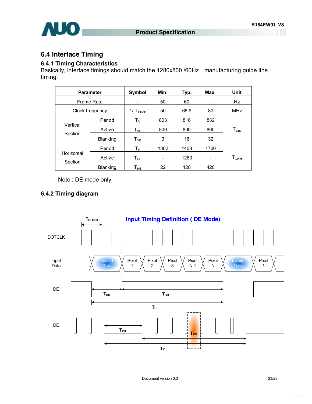

# **6.4 Interface Timing**

### **6.4.1 Timing Characteristics**

Basically, interface timings should match the 1280x800 /60Hz manufacturing guide line timing.

| <b>Parameter</b> |          | Symbol                     | Min. | Typ. | Max.                     | Unit                           |
|------------------|----------|----------------------------|------|------|--------------------------|--------------------------------|
| Frame Rate       |          | -                          | 50   | 60   | $\overline{\phantom{a}}$ | Hz.                            |
| Clock frequency  |          | 1/ $T_{\text{Clock}}$      | 50   | 68.9 | 80                       | <b>MHz</b>                     |
|                  | Period   | Τ <sub>ν</sub>             | 803  | 816  | 832                      |                                |
| Vertical         | Active   | T <sub>VD</sub>            | 800  | 800  | 800                      | $T_{Line}$                     |
| Section          | Blanking | $\mathsf{T}_{\mathsf{VB}}$ | 3    | 16   | 32                       |                                |
|                  | Period   | $\mathsf{T}_\mathsf{H}$    | 1302 | 1408 | 1700                     |                                |
| Horizontal       | Active   | Т <sub>нр</sub>            | -    | 1280 | $\overline{\phantom{a}}$ | ${\mathsf T}_{\mathsf{Clock}}$ |
| Section          | Blanking | Т <sub>нв</sub>            | 22   | 128  | 420                      |                                |

Note : DE mode only

### **6.4.2 Timing diagram**

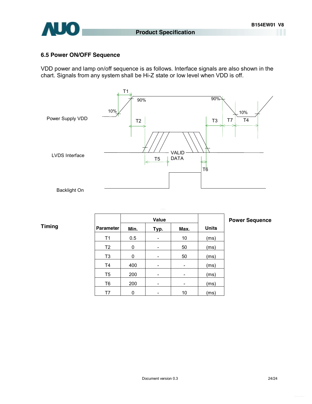

**Timing** 

### **6.5 Power ON/OFF Sequence**

VDD power and lamp on/off sequence is as follows. Interface signals are also shown in the chart. Signals from any system shall be Hi-Z state or low level when VDD is off.



|                  | <b>Value</b> |      |      |              |
|------------------|--------------|------|------|--------------|
| <b>Parameter</b> | Min.         | Typ. | Max. | <b>Units</b> |
| T1               | 0.5          |      | 10   | (ms)         |
| T <sub>2</sub>   | 0            |      | 50   | (ms)         |
| T3               | 0            |      | 50   | (ms)         |
| T <sub>4</sub>   | 400          |      |      | (ms)         |
| T5               | 200          |      | -    | (ms)         |
| T6               | 200          |      |      | (ms)         |
| т7               | ი            |      | 10   | (ms)         |

#### **Power Sequence**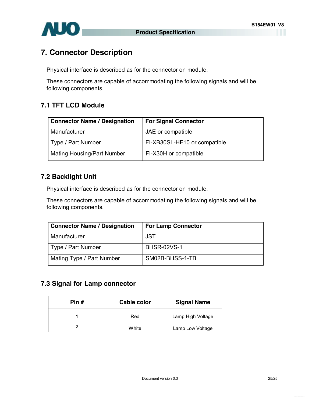

# **7. Connector Description**

Physical interface is described as for the connector on module.

These connectors are capable of accommodating the following signals and will be following components.

# **7.1 TFT LCD Module**

| <b>Connector Name / Designation</b> | <b>For Signal Connector</b>  |
|-------------------------------------|------------------------------|
| Manufacturer                        | JAE or compatible            |
| Type / Part Number                  | FI-XB30SL-HF10 or compatible |
| <b>Mating Housing/Part Number</b>   | FI-X30H or compatible        |

### **7.2 Backlight Unit**

Physical interface is described as for the connector on module.

These connectors are capable of accommodating the following signals and will be following components.

| <b>Connector Name / Designation</b> | <b>For Lamp Connector</b> |
|-------------------------------------|---------------------------|
| Manufacturer                        | JST                       |
| Type / Part Number                  | <b>BHSR-02VS-1</b>        |
| Mating Type / Part Number           | SM02B-BHSS-1-TB           |

### **7.3 Signal for Lamp connector**

| Pin $#$ | Cable color | <b>Signal Name</b> |
|---------|-------------|--------------------|
|         | Red         | Lamp High Voltage  |
|         | White       | Lamp Low Voltage   |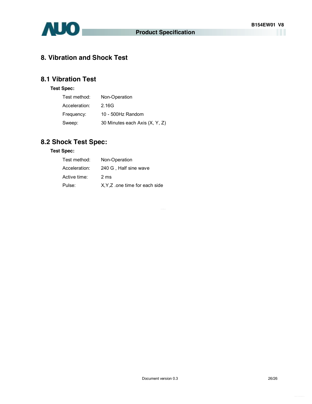

# **8. Vibration and Shock Test**

# **8.1 Vibration Test**

### **Test Spec:**

| Test method:  | Non-Operation                  |
|---------------|--------------------------------|
| Acceleration: | 2.16G                          |
| Frequency:    | 10 - 500Hz Random              |
| Sweep:        | 30 Minutes each Axis (X, Y, Z) |

# **8.2 Shock Test Spec:**

#### **Test Spec:**

| Test method:  | Non-Operation                  |
|---------------|--------------------------------|
| Acceleration: | 240 G, Half sine wave          |
| Active time:  | 2 ms                           |
| Pulse:        | X, Y, Z one time for each side |

Document version 0.3 26/26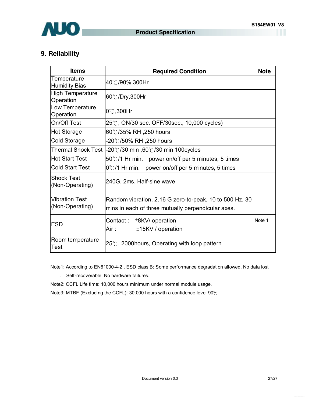

# **9. Reliability**

| <b>Items</b>                             | <b>Required Condition</b>                                                                                     | <b>Note</b> |  |
|------------------------------------------|---------------------------------------------------------------------------------------------------------------|-------------|--|
| Temperature<br><b>Humidity Bias</b>      | 40℃/90%,300Hr                                                                                                 |             |  |
| <b>High Temperature</b><br>Operation     | 60℃/Dry,300Hr                                                                                                 |             |  |
| Low Temperature<br>Operation             | $0^\circ\text{C}$ , 300Hr                                                                                     |             |  |
| On/Off Test                              | $25^{\circ}$ C, ON/30 sec. OFF/30sec., 10,000 cycles)                                                         |             |  |
| <b>Hot Storage</b>                       | 60℃/35% RH ,250 hours                                                                                         |             |  |
| Cold Storage                             | -20℃/50% RH ,250 hours                                                                                        |             |  |
|                                          | Thermal Shock Test  -20℃/30 min ,60℃/30 min 100cycles                                                         |             |  |
| <b>Hot Start Test</b>                    | $50^{\circ}$ C/1 Hr min. power on/off per 5 minutes, 5 times                                                  |             |  |
| <b>Cold Start Test</b>                   | $0^{\circ}$ C/1 Hr min. power on/off per 5 minutes, 5 times                                                   |             |  |
| <b>Shock Test</b><br>(Non-Operating)     | 240G, 2ms, Half-sine wave                                                                                     |             |  |
| <b>Vibration Test</b><br>(Non-Operating) | Random vibration, 2.16 G zero-to-peak, 10 to 500 Hz, 30<br>mins in each of three mutually perpendicular axes. |             |  |
| IESD                                     | Contact:<br>$±8$ KV/ operation<br>Air : ·<br>$±15KV/$ operation                                               | Note 1      |  |
| Room temperature<br><b>Test</b>          | $25^{\circ}$ C, 2000 hours, Operating with loop pattern                                                       |             |  |

Note1: According to EN61000-4-2 , ESD class B: Some performance degradation allowed. No data lost

. Self-recoverable. No hardware failures.

Note2: CCFL Life time: 10,000 hours minimum under normal module usage.

Note3: MTBF (Excluding the CCFL): 30,000 hours with a confidence level 90%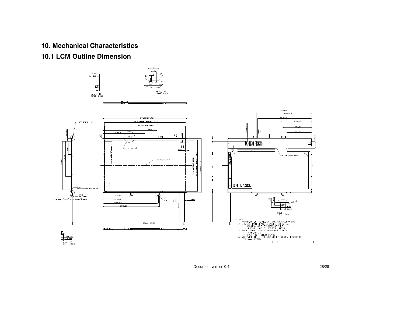# **10. Mechanical Characteristics**

# **10.1 LCM Outline Dimension**



Document version 0.4 28/28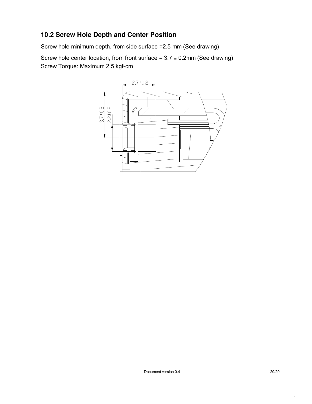# **10.2 Screw Hole Depth and Center Position**

Screw hole minimum depth, from side surface =2.5 mm (See drawing)

Screw hole center location, from front surface =  $3.7 \pm 0.2$ mm (See drawing) Screw Torque: Maximum 2.5 kgf-cm



Datashet pdf - http://www.DataShet4U.net/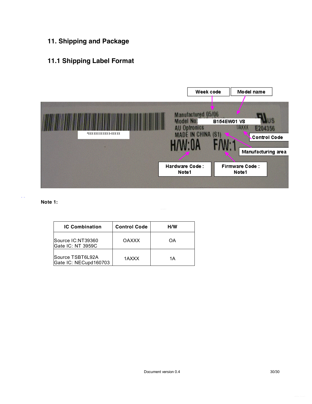# **11. Shipping and Package**

# **11.1 Shipping Label Format**



**Note 1:** 

| <b>IC Combination</b>                     | <b>Control Code</b> | H/W |
|-------------------------------------------|---------------------|-----|
| Source IC:NT39360<br>lGate IC: NT 3959C   | <b>OAXXX</b>        | OΑ  |
| Source TSBT6L92A<br>Gate IC: NECupd160703 | 1AXXX               | 1Α  |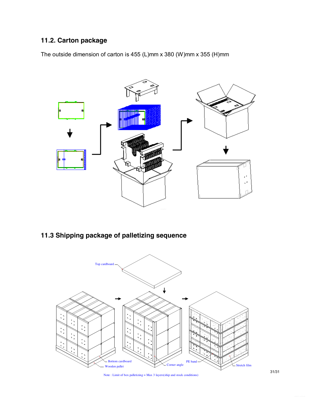# **11.2. Carton package**

The outside dimension of carton is 455 (L)mm x 380 (W)mm x 355 (H)mm



# **11.3 Shipping package of palletizing sequence**



Note : Limit of box palletizing = Max 3 layers(ship and stock conditions)  $31/31$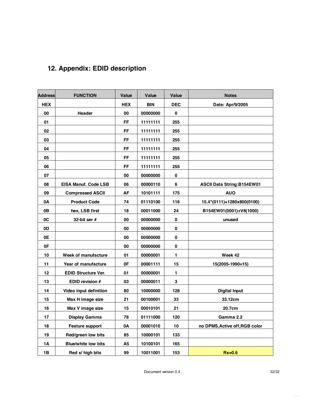| <b>Address</b> | <b>FUNCTION</b>             | Value      | Value      | <b>Value</b> | <b>Notes</b>                      |
|----------------|-----------------------------|------------|------------|--------------|-----------------------------------|
| <b>HEX</b>     |                             | <b>HEX</b> | <b>BIN</b> | <b>DEC</b>   | Date: Apr/9/2005                  |
| 00             | Header                      | 00         | 00000000   | 0            |                                   |
| 01             |                             | FF         | 11111111   | 255          |                                   |
| 02             |                             | FF         | 11111111   | 255          |                                   |
| 03             |                             | FF         | 11111111   | 255          |                                   |
| 04             |                             | FF         | 11111111   | 255          |                                   |
| 05             |                             | FF         | 11111111   | 255          |                                   |
| 06             |                             | FF         | 11111111   | 255          |                                   |
| 07             |                             | 00         | 00000000   | 0            |                                   |
| 08             | <b>EISA Manuf. Code LSB</b> | 06         | 00000110   | 6            | <b>ASCII Data String:B154EW01</b> |
| 09             | <b>Compressed ASCII</b>     | <b>AF</b>  | 10101111   | 175          | <b>AUO</b>                        |
| 0A             | <b>Product Code</b>         | 74         | 01110100   | 116          | 15.4"(0111)+1280x800(0100)        |
| 0B             | hex, LSB first              | 18         | 00011000   | 24           | B154EW01(0001)+V8(1000)           |
| 0C             | 32-bit ser $#$              | 00         | 00000000   | 0            | unused                            |
| 0D             |                             | 00         | 00000000   | 0            |                                   |
| 0E             |                             | 00         | 00000000   | 0            |                                   |
| 0F             |                             | 00         | 00000000   | 0            |                                   |
| 10             | Week of manufacture         | 01         | 00000001   | 1            | Week 42                           |
| 11             | Year of manufacture         | 0F         | 00001111   | 15           | 15(2005-1990=15)                  |
| 12             | <b>EDID Structure Ver.</b>  | 01         | 00000001   | 1.           |                                   |
| 13             | EDID revision #             | 03         | 00000011   | 3            |                                   |
| 14             | Video input definition      | 80         | 10000000   | 128          | <b>Digital Input</b>              |
| 15             | Max H image size            | 21         | 00100001   | 33           | 33.12cm                           |
| 16             | Max V image size            | 15         | 00010101   | 21           | 20.7cm                            |
| 17             | Display Gamma               | 78         | 01111000   | 120          | Gamma 2.2                         |
| 18             | <b>Feature support</b>      | 0A         | 00001010   | 10           | no DPMS, Active off, RGB color    |
| 19             | Red/green low bits          | 85         | 10000101   | 133          |                                   |
| 1A             | <b>Blue/white low bits</b>  | A5         | 10100101   | 165          |                                   |
| 1B             | Red x/ high bits            | 99         | 10011001   | 153          | $Rx=0.6$                          |

# **12. Appendix: EDID description**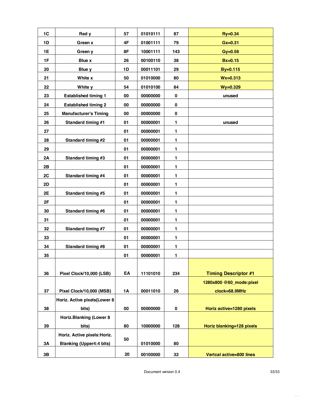| 1C        | Red y                           | 57     | 01010111 | 87             | $Ry = 0.34$                     |
|-----------|---------------------------------|--------|----------|----------------|---------------------------------|
| 1D        | Green x                         | 4F     | 01001111 | 79             | $Gx=0.31$                       |
| <b>1E</b> | Green y                         | 8F     | 10001111 | 143            | $Gy=0.56$                       |
| 1F        | <b>Blue x</b>                   | 26     | 00100110 | 38             | $Bx=0.15$                       |
| 20        | Blue y                          | 1D     | 00011101 | 29             | By=0.115                        |
| 21        | White x                         | 50     | 01010000 | 80             | $Wx = 0.313$                    |
| 22        | White y                         | 54     | 01010100 | 84             | $Wy = 0.329$                    |
| 23        | <b>Established timing 1</b>     | 00     | 00000000 | 0              | unused                          |
| 24        | <b>Established timing 2</b>     | 00     | 00000000 | 0              |                                 |
| 25        | <b>Manufacturer's Timing</b>    | 00     | 00000000 | 0              |                                 |
| 26        | Standard timing #1              | 01     | 00000001 | 1              | unused                          |
| 27        |                                 | 01     | 00000001 | $\mathbf{1}$   |                                 |
| 28        | Standard timing #2              | 01     | 00000001 | $\mathbf{1}$   |                                 |
| 29        |                                 | 01     | 00000001 | $\mathbf{1}$   |                                 |
| 2A        | Standard timing #3              | 01     | 00000001 | 1              |                                 |
| 2B        |                                 | 01     | 00000001 | $\mathbf{1}$   |                                 |
| 2C        | Standard timing #4              | 01     | 00000001 | $\mathbf{1}$   |                                 |
| 2D        |                                 | 01     | 00000001 | $\mathbf{1}$   |                                 |
| 2E        | Standard timing #5              | 01     | 00000001 | $\mathbf{1}$   |                                 |
| 2F        |                                 | 01     | 00000001 | 1              |                                 |
| 30        | Standard timing #6              | 01     | 00000001 | $\mathbf{1}$   |                                 |
| 31        |                                 | 01     | 00000001 | 1              |                                 |
| 32        | Standard timing #7              | 01     | 00000001 | $\blacksquare$ |                                 |
| 33        |                                 | 01     | 00000001 | 1              |                                 |
| 34        | Standard timing #8              | 01     | 00000001 | 1              |                                 |
| 35        |                                 | 01     | 00000001 | 1              |                                 |
|           |                                 |        |          |                |                                 |
| 36        | Pixel Clock/10,000 (LSB)        | EA     | 11101010 | 234            | <b>Timing Descriptor #1</b>     |
|           |                                 |        |          |                | 1280x800 @60 mode:pixel         |
| 37        | Pixel Clock/10,000 (MSB)        | 1A     | 00011010 | 26             | clock=68.9MHz                   |
|           | Horiz. Active pixels(Lower 8    |        |          |                |                                 |
| 38        | bits)                           | 00     | 00000000 | 0              | Horiz active=1280 pixels        |
|           | <b>Horiz.Blanking (Lower 8</b>  |        |          |                |                                 |
| 39        | bits)                           | 80     | 10000000 | 128            | Horiz blanking=128 pixels       |
|           | Horiz. Active pixels: Horiz.    |        |          |                |                                 |
| 3A        | <b>Blanking (Upper4:4 bits)</b> | 50     | 01010000 | 80             |                                 |
|           |                                 |        |          |                |                                 |
| 3B        |                                 | $20\,$ | 00100000 | 32             | <b>Vertcal active=800 lines</b> |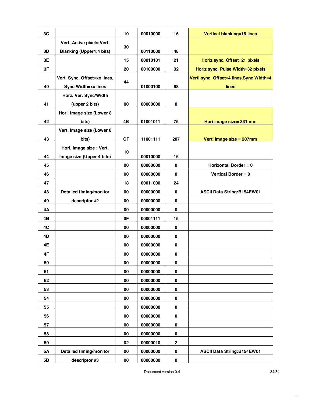| 3C        |                                 | 10         | 00010000             | 16          | <b>Vertical blanking=16 lines</b>        |
|-----------|---------------------------------|------------|----------------------|-------------|------------------------------------------|
|           | Vert. Active pixels: Vert.      |            |                      |             |                                          |
| 3D        | <b>Blanking (Upper4:4 bits)</b> | 30         | 00110000             | 48          |                                          |
| 3E        |                                 | 15         | 00010101             | 21          | Horiz sync. Offset=21 pixels             |
| 3F        |                                 | 20         | 00100000             | 32          | Horiz sync. Pulse Width=32 pixels        |
|           | Vert. Sync. Offset=xx lines,    |            |                      |             | Verti sync. Offset=4 lines, Sync Width=4 |
| 40        | <b>Sync Width=xx lines</b>      | 44         | 01000100             | 68          | lines                                    |
|           | Horz. Ver. Sync/Width           |            |                      |             |                                          |
| 41        | (upper 2 bits)                  | 00         | 00000000             | 0           |                                          |
|           | Hori. Image size (Lower 8       |            |                      |             |                                          |
| 42        | bits)                           | 4B         | 01001011             | 75          | Hori image size= 331 mm                  |
|           | Vert. Image size (Lower 8       |            |                      |             |                                          |
| 43        | bits)                           | <b>CF</b>  | 11001111             | 207         | Verti image size = 207mm                 |
|           | Hori. Image size : Vert.        |            |                      |             |                                          |
| 44        | Image size (Upper 4 bits)       | 10         | 00010000             | 16          |                                          |
| 45        |                                 | 00         | 00000000             | 0           | Horizontal Border = 0                    |
| 46        |                                 | 00         | 00000000             | $\mathbf 0$ | Vertical Border = 0                      |
| 47        |                                 | 18         | 00011000             | 24          |                                          |
| 48        | Detailed timing/monitor         | 00         | 00000000             | 0           | <b>ASCII Data String:B154EW01</b>        |
| 49        | descriptor #2                   | 00         | 00000000             | 0           |                                          |
| 4Α        |                                 | 00         |                      | 0           |                                          |
| 4B        |                                 | 0F         | 00000000<br>00001111 | 15          |                                          |
|           |                                 |            |                      |             |                                          |
| 4C        |                                 | 00         | 00000000             | 0           |                                          |
| 4D        |                                 | 00         | 00000000             | 0           |                                          |
| 4E        |                                 | 00         | 00000000             | 0           |                                          |
| 4F        |                                 | 00         | 00000000             | 0           |                                          |
| 50        |                                 | 00         | 00000000             | $\pmb{0}$   |                                          |
| 51        |                                 | 00         | 00000000             | 0           |                                          |
| 52        |                                 | 00         | 00000000             | 0           |                                          |
| 53        |                                 | 00         | 00000000             | 0           |                                          |
| 54        |                                 | 00         | 00000000             | 0           |                                          |
| 55        |                                 | 00         | 00000000             | 0           |                                          |
| 56        |                                 | 00         | 00000000             | 0           |                                          |
| 57        |                                 | 00         | 00000000             | 0           |                                          |
| 58        |                                 | 00         | 00000000             | 0           |                                          |
| 59        |                                 | 02         | 00000010             | $\mathbf 2$ |                                          |
| <b>5A</b> | <b>Detailed timing/monitor</b>  | 00         | 00000000             | 0           | <b>ASCII Data String:B154EW01</b>        |
| 5B        | descriptor #3                   | ${\bf 00}$ | 00000000             | $\pmb{0}$   |                                          |